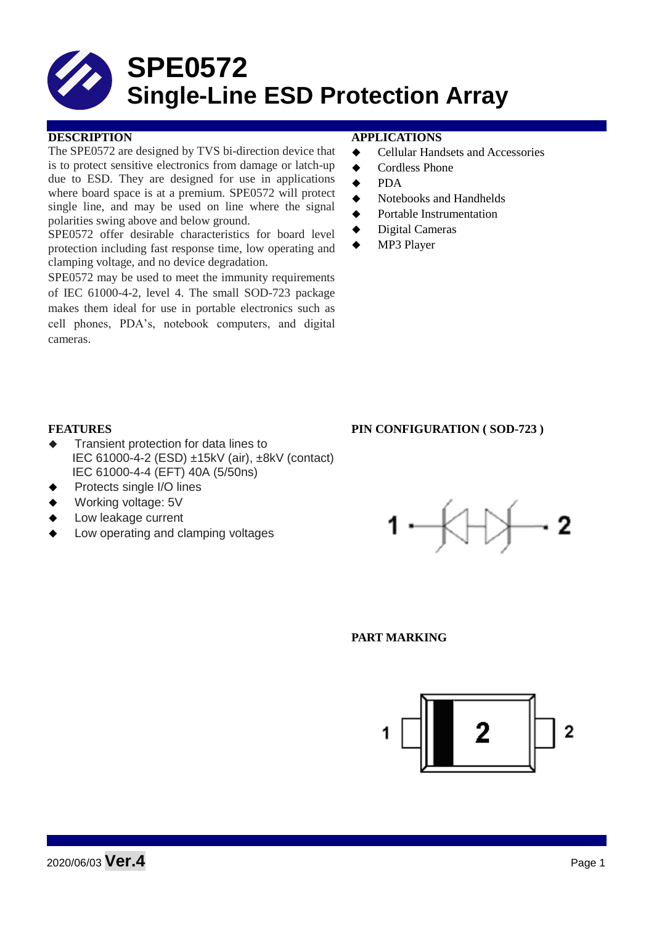# **SPE0572 Single-Line ESD Protection Array**

#### **DESCRIPTION APPLICATIONS**

The SPE0572 are designed by TVS bi-direction device that is to protect sensitive electronics from damage or latch-up due to ESD. They are designed for use in applications where board space is at a premium. SPE0572 will protect single line, and may be used on line where the signal polarities swing above and below ground.

SPE0572 offer desirable characteristics for board level protection including fast response time, low operating and clamping voltage, and no device degradation.

SPE0572 may be used to meet the immunity requirements of IEC 61000-4-2, level 4. The small SOD-723 package makes them ideal for use in portable electronics such as cell phones, PDA's, notebook computers, and digital cameras.

- **←** Cellular Handsets and Accessories
- **←** Cordless Phone
- $\bullet$  PDA
- Notebooks and Handhelds
- Portable Instrumentation
- ◆ Digital Cameras
- MP3 Player

### **FEATURES PIN CONFIGURATION ( SOD-723 )**

- Transient protection for data lines to IEC 61000-4-2 (ESD) ±15kV (air), ±8kV (contact) IEC 61000-4-4 (EFT) 40A (5/50ns)
- Protects single I/O lines
- Working voltage: 5V
- Low leakage current
- Low operating and clamping voltages



#### **PART MARKING**

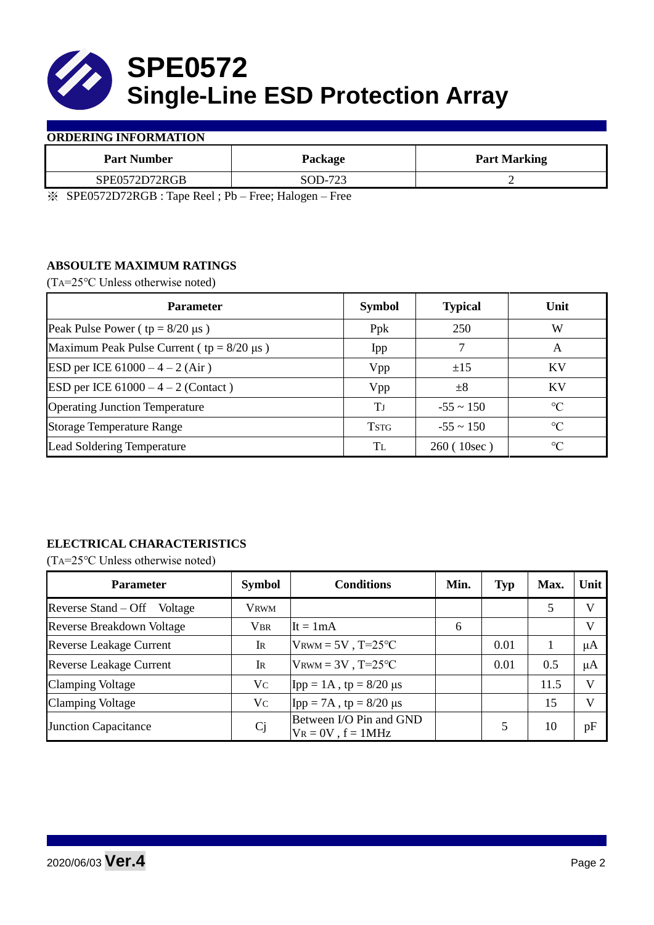

#### **ORDERING INFORMATION**

| <b>Part Number</b>                            | Package                                                         | <b>Part Marking</b> |  |
|-----------------------------------------------|-----------------------------------------------------------------|---------------------|--|
| SPE0572D72RGB                                 | SOD-723                                                         |                     |  |
| $\mathbf{u}$ $\alpha$<br>$\sim$ $\sim$ $\sim$ | $\overline{\phantom{0}}$<br>$- - -$<br>$\overline{\phantom{0}}$ |                     |  |

※ SPE0572D72RGB : Tape Reel ; Pb – Free; Halogen – Free

## **ABSOULTE MAXIMUM RATINGS**

(TA=25℃ Unless otherwise noted)

| <b>Parameter</b>                                 | <b>Symbol</b> | <b>Typical</b> | Unit            |  |
|--------------------------------------------------|---------------|----------------|-----------------|--|
| Peak Pulse Power ( $tp = 8/20 \mu s$ )           | Ppk           | 250            | W               |  |
| Maximum Peak Pulse Current ( $tp = 8/20 \mu s$ ) | Ipp           |                | A               |  |
| ESD per ICE $61000 - 4 - 2$ (Air)                | Vpp           | ±15            | <b>KV</b>       |  |
| <b>ESD</b> per ICE $61000 - 4 - 2$ (Contact)     | Vpp           | $\pm 8$        | KV              |  |
| <b>Operating Junction Temperature</b>            | Tј            | $-55 \sim 150$ | $\rm ^{\circ}C$ |  |
| <b>Storage Temperature Range</b>                 | <b>TSTG</b>   | $-55 \sim 150$ | $\rm ^{\circ}C$ |  |
| Lead Soldering Temperature                       | Tī.           | 260 (10sec)    | $\rm ^{\circ}C$ |  |

# **ELECTRICAL CHARACTERISTICS**

(TA=25℃ Unless otherwise noted)

| <b>Parameter</b>                 | <b>Symbol</b>  | <b>Conditions</b>                                  | Min. | <b>Typ</b> | Max. | Unit         |
|----------------------------------|----------------|----------------------------------------------------|------|------------|------|--------------|
| Reverse Stand – Off<br>Voltage   | <b>VRWM</b>    |                                                    |      |            | 5    | V            |
| <b>Reverse Breakdown Voltage</b> | <b>VBR</b>     | It = $1mA$                                         | 6    |            |      | $\mathbf{V}$ |
| <b>Reverse Leakage Current</b>   | IR             | $V_{\text{RWM}} = 5V$ , T=25°C                     |      | 0.01       |      | μA           |
| <b>Reverse Leakage Current</b>   | IR             | $V_{\text{RWM}} = 3V$ , T=25°C                     |      | 0.01       | 0.5  | μA           |
| <b>Clamping Voltage</b>          | Vc             | Ipp = $1A$ , tp = $8/20 \mu s$                     |      |            | 11.5 | V            |
| <b>Clamping Voltage</b>          | Vc             | Ipp = 7A, tp = $8/20 \mu s$                        |      |            | 15   | $\mathbf{V}$ |
| <b>Junction Capacitance</b>      | C <sub>j</sub> | Between I/O Pin and GND<br>$V_R = 0V$ , $f = 1MHz$ |      |            | 10   | pF           |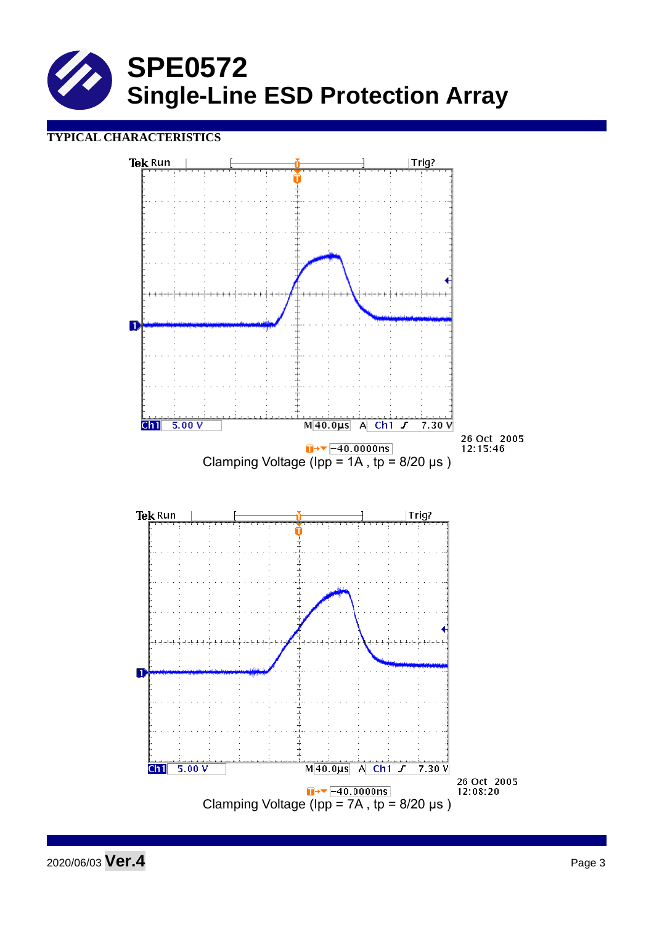

## **TYPICAL CHARACTERISTICS**



2020/06/03 **Ver.4** Page 3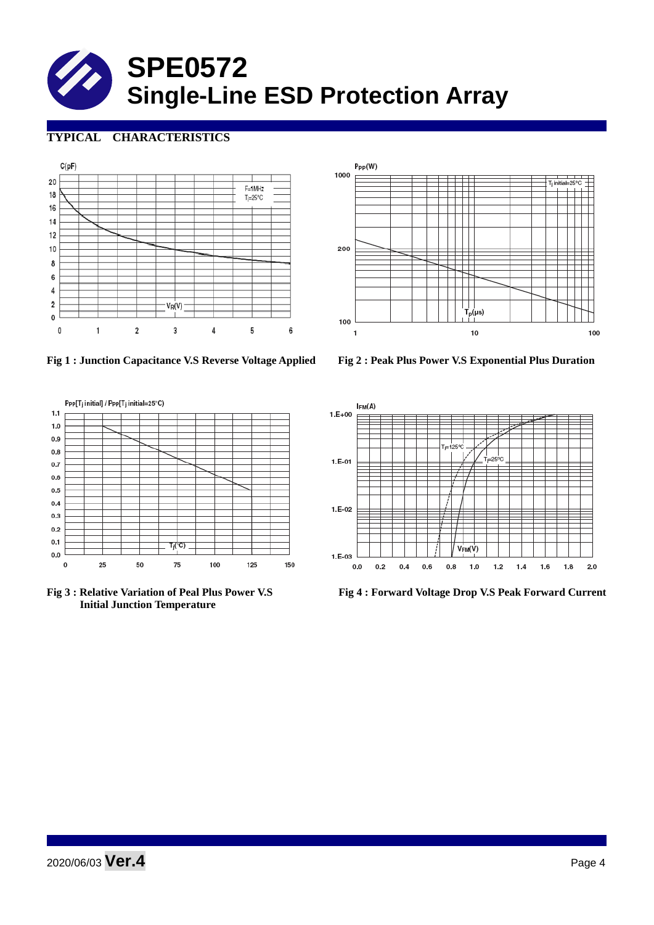# **SPE0572 Single-Line ESD Protection Array**

# **TYPICAL CHARACTERISTICS**





**Fig 1 : Junction Capacitance V.S Reverse Voltage Applied Fig 2 : Peak Plus Power V.S Exponential Plus Duration**



 **Initial Junction Temperature** 



**Fig 3 : Relative Variation of Peal Plus Power V.S Fig 4 : Forward Voltage Drop V.S Peak Forward Current**